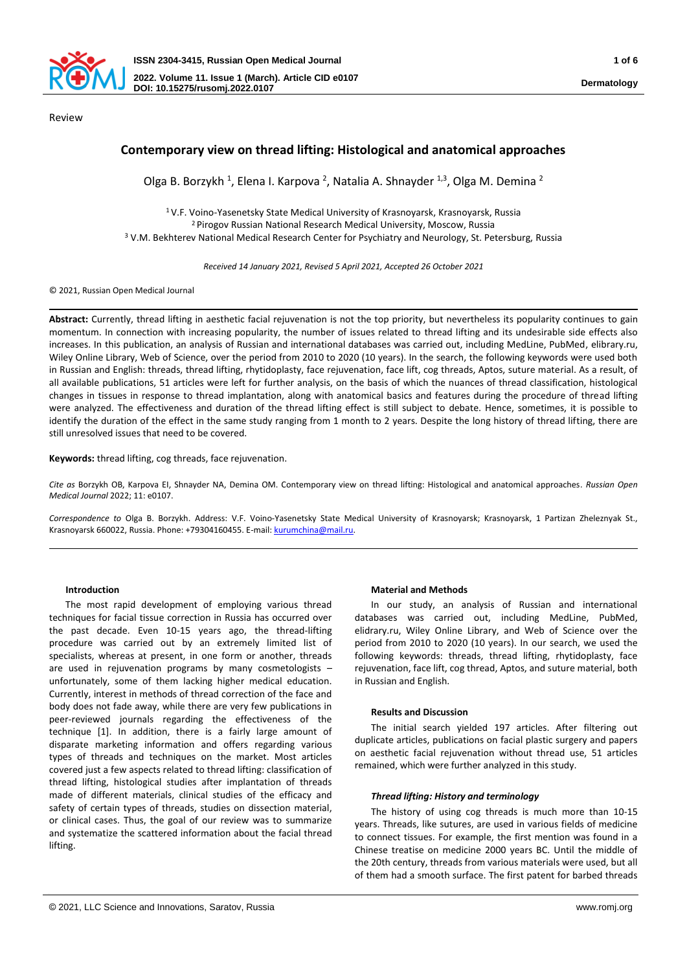

Review

# **Contemporary view on thread lifting: Histological and anatomical approaches**

Olga B. Borzykh<sup>1</sup>, Elena I. Karpova<sup>2</sup>, Natalia A. Shnayder<sup>1,3</sup>, Olga M. Demina<sup>2</sup>

<sup>1</sup> V.F. Voino-Yasenetsky State Medical University of Krasnoyarsk, Krasnoyarsk, Russia <sup>2</sup> Pirogov Russian National Research Medical University, Moscow, Russia <sup>3</sup> V.M. Bekhterev National Medical Research Center for Psychiatry and Neurology, St. Petersburg, Russia

*Received 14 January 2021, Revised 5 April 2021, Accepted 26 October 2021*

#### © 2021, Russian Open Medical Journal

**Abstract:** Currently, thread lifting in aesthetic facial rejuvenation is not the top priority, but nevertheless its popularity continues to gain momentum. In connection with increasing popularity, the number of issues related to thread lifting and its undesirable side effects also increases. In this publication, an analysis of Russian and international databases was carried out, including MedLine, PubMed, elibrary.ru, Wiley Online Library, Web of Science, over the period from 2010 to 2020 (10 years). In the search, the following keywords were used both in Russian and English: threads, thread lifting, rhytidoplasty, face rejuvenation, face lift, cog threads, Aptos, suture material. As a result, of all available publications, 51 articles were left for further analysis, on the basis of which the nuances of thread classification, histological changes in tissues in response to thread implantation, along with anatomical basics and features during the procedure of thread lifting were analyzed. The effectiveness and duration of the thread lifting effect is still subject to debate. Hence, sometimes, it is possible to identify the duration of the effect in the same study ranging from 1 month to 2 years. Despite the long history of thread lifting, there are still unresolved issues that need to be covered.

### **Keywords:** thread lifting, cog threads, face rejuvenation.

*Cite as* Borzykh OB, Karpova EI, Shnayder NA, Demina OM. Contemporary view on thread lifting: Histological and anatomical approaches. *Russian Open Medical Journal* 2022; 11: e0107.

*Correspondence to* Olga B. Borzykh. Address: V.F. Voino-Yasenetsky State Medical University of Krasnoyarsk; Krasnoyarsk, 1 Partizan Zheleznyak St., Krasnoyarsk 660022, Russia. Phone: +79304160455. E-mail[: kurumchina@mail.ru.](mailto:kurumchina@mail.ru)

### **Introduction**

The most rapid development of employing various thread techniques for facial tissue correction in Russia has occurred over the past decade. Even 10-15 years ago, the thread-lifting procedure was carried out by an extremely limited list of specialists, whereas at present, in one form or another, threads are used in rejuvenation programs by many cosmetologists – unfortunately, some of them lacking higher medical education. Currently, interest in methods of thread correction of the face and body does not fade away, while there are very few publications in peer-reviewed journals regarding the effectiveness of the technique [1]. In addition, there is a fairly large amount of disparate marketing information and offers regarding various types of threads and techniques on the market. Most articles covered just a few aspects related to thread lifting: classification of thread lifting, histological studies after implantation of threads made of different materials, clinical studies of the efficacy and safety of certain types of threads, studies on dissection material, or clinical cases. Thus, the goal of our review was to summarize and systematize the scattered information about the facial thread lifting.

### **Material and Methods**

In our study, an analysis of Russian and international databases was carried out, including MedLine, PubMed, elidrary.ru, Wiley Online Library, and Web of Science over the period from 2010 to 2020 (10 years). In our search, we used the following keywords: threads, thread lifting, rhytidoplasty, face rejuvenation, face lift, cog thread, Aptos, and suture material, both in Russian and English.

### **Results and Discussion**

The initial search yielded 197 articles. After filtering out duplicate articles, publications on facial plastic surgery and papers on aesthetic facial rejuvenation without thread use, 51 articles remained, which were further analyzed in this study.

#### *Thread lifting: History and terminology*

The history of using cog threads is much more than 10-15 years. Threads, like sutures, are used in various fields of medicine to connect tissues. For example, the first mention was found in a Chinese treatise on medicine 2000 years BC. Until the middle of the 20th century, threads from various materials were used, but all of them had a smooth surface. The first patent for barbed threads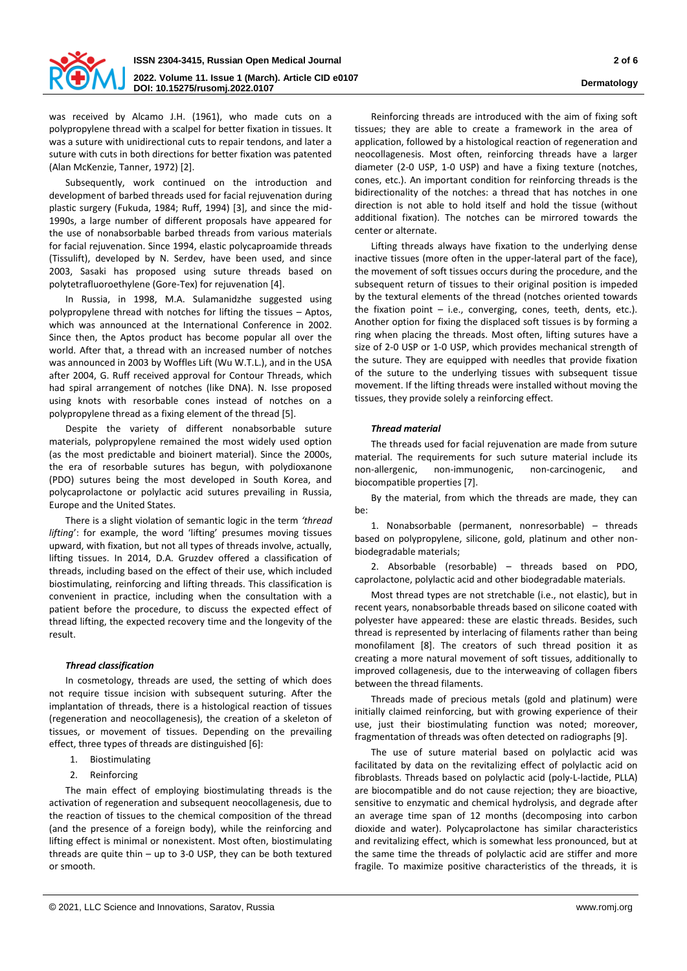

was received by Alcamo J.H. (1961), who made cuts on a polypropylene thread with a scalpel for better fixation in tissues. It was a suture with unidirectional cuts to repair tendons, and later a suture with cuts in both directions for better fixation was patented (Alan McKenzie, Tanner, 1972) [2].

Subsequently, work continued on the introduction and development of barbed threads used for facial rejuvenation during plastic surgery (Fukuda, 1984; Ruff, 1994) [3], and since the mid-1990s, a large number of different proposals have appeared for the use of nonabsorbable barbed threads from various materials for facial rejuvenation. Since 1994, elastic polycaproamide threads (Tissulift), developed by N. Serdev, have been used, and since 2003, Sasaki has proposed using suture threads based on polytetrafluoroethylene (Gore-Tex) for rejuvenation [4].

In Russia, in 1998, M.A. Sulamanidzhe suggested using polypropylene thread with notches for lifting the tissues – Aptos, which was announced at the International Conference in 2002. Since then, the Aptos product has become popular all over the world. After that, a thread with an increased number of notches was announced in 2003 by Woffles Lift (Wu W.T.L.), and in the USA after 2004, G. Ruff received approval for Contour Threads, which had spiral arrangement of notches (like DNA). N. Isse proposed using knots with resorbable cones instead of notches on a polypropylene thread as a fixing element of the thread [5].

Despite the variety of different nonabsorbable suture materials, polypropylene remained the most widely used option (as the most predictable and bioinert material). Since the 2000s, the era of resorbable sutures has begun, with polydioxanone (PDO) sutures being the most developed in South Korea, and polycaprolactone or polylactic acid sutures prevailing in Russia, Europe and the United States.

There is a slight violation of semantic logic in the term *'thread lifting*': for example, the word 'lifting' presumes moving tissues upward, with fixation, but not all types of threads involve, actually, lifting tissues. In 2014, D.A. Gruzdev offered a classification of threads, including based on the effect of their use, which included biostimulating, reinforcing and lifting threads. This classification is convenient in practice, including when the consultation with a patient before the procedure, to discuss the expected effect of thread lifting, the expected recovery time and the longevity of the result.

#### *Thread classification*

In cosmetology, threads are used, the setting of which does not require tissue incision with subsequent suturing. After the implantation of threads, there is a histological reaction of tissues (regeneration and neocollagenesis), the creation of a skeleton of tissues, or movement of tissues. Depending on the prevailing effect, three types of threads are distinguished [6]:

- 1. Biostimulating
- 2. Reinforcing

The main effect of employing biostimulating threads is the activation of regeneration and subsequent neocollagenesis, due to the reaction of tissues to the chemical composition of the thread (and the presence of a foreign body), while the reinforcing and lifting effect is minimal or nonexistent. Most often, biostimulating threads are quite thin  $-$  up to 3-0 USP, they can be both textured or smooth.

Reinforcing threads are introduced with the aim of fixing soft tissues; they are able to create a framework in the area of application, followed by a histological reaction of regeneration and neocollagenesis. Most often, reinforcing threads have a larger diameter (2-0 USP, 1-0 USP) and have a fixing texture (notches, cones, etc.). An important condition for reinforcing threads is the bidirectionality of the notches: a thread that has notches in one direction is not able to hold itself and hold the tissue (without additional fixation). The notches can be mirrored towards the center or alternate.

Lifting threads always have fixation to the underlying dense inactive tissues (more often in the upper-lateral part of the face), the movement of soft tissues occurs during the procedure, and the subsequent return of tissues to their original position is impeded by the textural elements of the thread (notches oriented towards the fixation point  $-$  i.e., converging, cones, teeth, dents, etc.). Another option for fixing the displaced soft tissues is by forming a ring when placing the threads. Most often, lifting sutures have a size of 2-0 USP or 1-0 USP, which provides mechanical strength of the suture. They are equipped with needles that provide fixation of the suture to the underlying tissues with subsequent tissue movement. If the lifting threads were installed without moving the tissues, they provide solely a reinforcing effect.

### *Thread material*

The threads used for facial rejuvenation are made from suture material. The requirements for such suture material include its non-allergenic, non-immunogenic, non-carcinogenic, and biocompatible properties [7].

By the material, from which the threads are made, they can be:

1. Nonabsorbable (permanent, nonresorbable) – threads based on polypropylene, silicone, gold, platinum and other nonbiodegradable materials;

2. Absorbable (resorbable) – threads based on PDO, caprolactone, polylactic acid and other biodegradable materials.

Most thread types are not stretchable (i.e., not elastic), but in recent years, nonabsorbable threads based on silicone coated with polyester have appeared: these are elastic threads. Besides, such thread is represented by interlacing of filaments rather than being monofilament [8]. The creators of such thread position it as creating a more natural movement of soft tissues, additionally to improved collagenesis, due to the interweaving of collagen fibers between the thread filaments.

Threads made of precious metals (gold and platinum) were initially claimed reinforcing, but with growing experience of their use, just their biostimulating function was noted; moreover, fragmentation of threads was often detected on radiographs [9].

The use of suture material based on polylactic acid was facilitated by data on the revitalizing effect of polylactic acid on fibroblasts. Threads based on polylactic acid (poly-L-lactide, PLLA) are biocompatible and do not cause rejection; they are bioactive, sensitive to enzymatic and chemical hydrolysis, and degrade after an average time span of 12 months (decomposing into carbon dioxide and water). Polycaprolactone has similar characteristics and revitalizing effect, which is somewhat less pronounced, but at the same time the threads of polylactic acid are stiffer and more fragile. To maximize positive characteristics of the threads, it is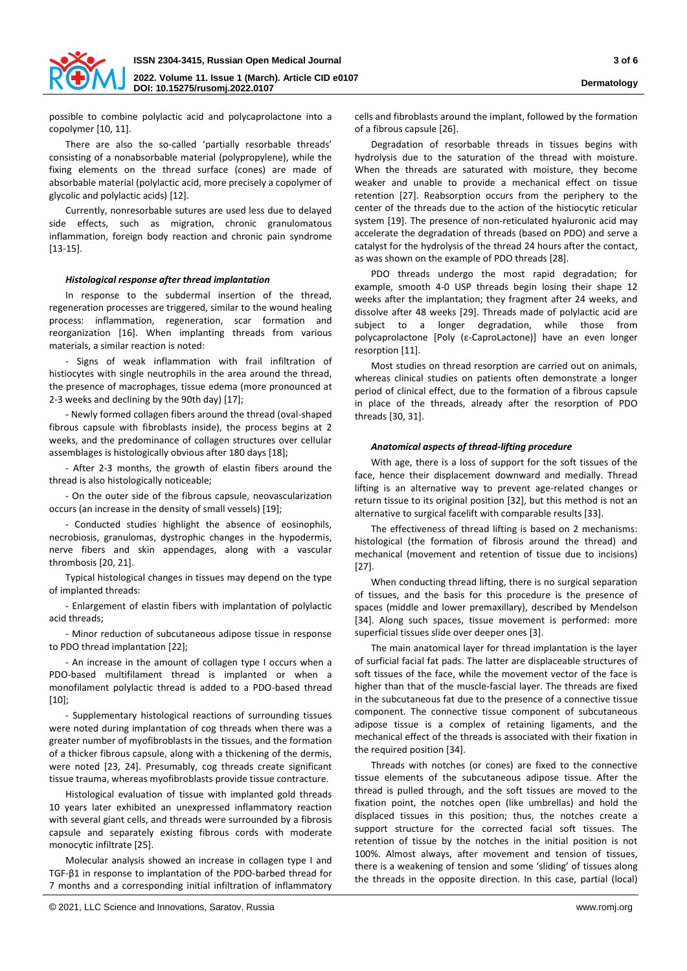

possible to combine polylactic acid and polycaprolactone into a copolymer [10, 11].

There are also the so-called 'partially resorbable threads' consisting of a nonabsorbable material (polypropylene), while the fixing elements on the thread surface (cones) are made of absorbable material (polylactic acid, more precisely a copolymer of glycolic and polylactic acids) [12].

Currently, nonresorbable sutures are used less due to delayed side effects, such as migration, chronic granulomatous inflammation, foreign body reaction and chronic pain syndrome [13-15].

#### *Histological response after thread implantation*

In response to the subdermal insertion of the thread, regeneration processes are triggered, similar to the wound healing process: inflammation, regeneration, scar formation and reorganization [16]. When implanting threads from various materials, a similar reaction is noted:

- Signs of weak inflammation with frail infiltration of histiocytes with single neutrophils in the area around the thread, the presence of macrophages, tissue edema (more pronounced at 2-3 weeks and declining by the 90th day) [17];

- Newly formed collagen fibers around the thread (oval-shaped fibrous capsule with fibroblasts inside), the process begins at 2 weeks, and the predominance of collagen structures over cellular assemblages is histologically obvious after 180 days [18];

- After 2-3 months, the growth of elastin fibers around the thread is also histologically noticeable;

- On the outer side of the fibrous capsule, neovascularization occurs (an increase in the density of small vessels) [19];

- Conducted studies highlight the absence of eosinophils, necrobiosis, granulomas, dystrophic changes in the hypodermis, nerve fibers and skin appendages, along with a vascular thrombosis [20, 21].

Typical histological changes in tissues may depend on the type of implanted threads:

- Enlargement of elastin fibers with implantation of polylactic acid threads;

- Minor reduction of subcutaneous adipose tissue in response to PDO thread implantation [22];

- An increase in the amount of collagen type I occurs when a PDO-based multifilament thread is implanted or when a monofilament polylactic thread is added to a PDO-based thread [10];

- Supplementary histological reactions of surrounding tissues were noted during implantation of cog threads when there was a greater number of myofibroblasts in the tissues, and the formation of a thicker fibrous capsule, along with a thickening of the dermis, were noted [23, 24]. Presumably, cog threads create significant tissue trauma, whereas myofibroblasts provide tissue contracture.

Histological evaluation of tissue with implanted gold threads 10 years later exhibited an unexpressed inflammatory reaction with several giant cells, and threads were surrounded by a fibrosis capsule and separately existing fibrous cords with moderate monocytic infiltrate [25].

Molecular analysis showed an increase in collagen type I and TGF-β1 in response to implantation of the PDO-barbed thread for 7 months and a corresponding initial infiltration of inflammatory

cells and fibroblasts around the implant, followed by the formation of a fibrous capsule [26].

Degradation of resorbable threads in tissues begins with hydrolysis due to the saturation of the thread with moisture. When the threads are saturated with moisture, they become weaker and unable to provide a mechanical effect on tissue retention [27]. Reabsorption occurs from the periphery to the center of the threads due to the action of the histiocytic reticular system [19]. The presence of non-reticulated hyaluronic acid may accelerate the degradation of threads (based on PDO) and serve a catalyst for the hydrolysis of the thread 24 hours after the contact, as was shown on the example of PDO threads [28].

PDO threads undergo the most rapid degradation; for example, smooth 4-0 USP threads begin losing their shape 12 weeks after the implantation; they fragment after 24 weeks, and dissolve after 48 weeks [29]. Threads made of polylactic acid are subject to a longer degradation, while those from polycaprolactone [Poly (ε-CaproLactone)] have an even longer resorption [11].

Most studies on thread resorption are carried out on animals, whereas clinical studies on patients often demonstrate a longer period of clinical effect, due to the formation of a fibrous capsule in place of the threads, already after the resorption of PDO threads [30, 31].

### *Anatomical aspects of thread-lifting procedure*

With age, there is a loss of support for the soft tissues of the face, hence their displacement downward and medially. Thread lifting is an alternative way to prevent age-related changes or return tissue to its original position [32], but this method is not an alternative to surgical facelift with comparable results [33].

The effectiveness of thread lifting is based on 2 mechanisms: histological (the formation of fibrosis around the thread) and mechanical (movement and retention of tissue due to incisions) [27].

When conducting thread lifting, there is no surgical separation of tissues, and the basis for this procedure is the presence of spaces (middle and lower premaxillary), described by Mendelson [34]. Along such spaces, tissue movement is performed: more superficial tissues slide over deeper ones [3].

The main anatomical layer for thread implantation is the layer of surficial facial fat pads. The latter are displaceable structures of soft tissues of the face, while the movement vector of the face is higher than that of the muscle-fascial layer. The threads are fixed in the subcutaneous fat due to the presence of a connective tissue component. The connective tissue component of subcutaneous adipose tissue is a complex of retaining ligaments, and the mechanical effect of the threads is associated with their fixation in the required position [34].

Threads with notches (or cones) are fixed to the connective tissue elements of the subcutaneous adipose tissue. After the thread is pulled through, and the soft tissues are moved to the fixation point, the notches open (like umbrellas) and hold the displaced tissues in this position; thus, the notches create a support structure for the corrected facial soft tissues. The retention of tissue by the notches in the initial position is not 100%. Almost always, after movement and tension of tissues, there is a weakening of tension and some 'sliding' of tissues along the threads in the opposite direction. In this case, partial (local)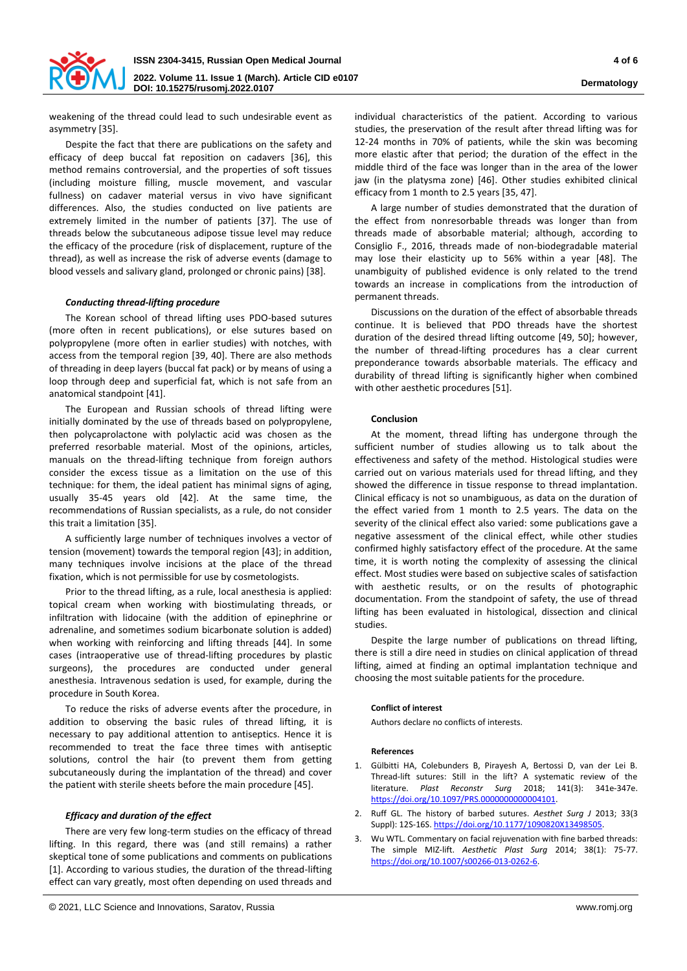

weakening of the thread could lead to such undesirable event as asymmetry [35].

Despite the fact that there are publications on the safety and efficacy of deep buccal fat reposition on cadavers [36], this method remains controversial, and the properties of soft tissues (including moisture filling, muscle movement, and vascular fullness) on cadaver material versus in vivo have significant differences. Also, the studies conducted on live patients are extremely limited in the number of patients [37]. The use of threads below the subcutaneous adipose tissue level may reduce the efficacy of the procedure (risk of displacement, rupture of the thread), as well as increase the risk of adverse events (damage to blood vessels and salivary gland, prolonged or chronic pains) [38].

## *Conducting thread-lifting procedure*

The Korean school of thread lifting uses PDO-based sutures (more often in recent publications), or else sutures based on polypropylene (more often in earlier studies) with notches, with access from the temporal region [39, 40]. There are also methods of threading in deep layers (buccal fat pack) or by means of using a loop through deep and superficial fat, which is not safe from an anatomical standpoint [41].

The European and Russian schools of thread lifting were initially dominated by the use of threads based on polypropylene, then polycaprolactone with polylactic acid was chosen as the preferred resorbable material. Most of the opinions, articles, manuals on the thread-lifting technique from foreign authors consider the excess tissue as a limitation on the use of this technique: for them, the ideal patient has minimal signs of aging, usually 35-45 years old [42]. At the same time, the recommendations of Russian specialists, as a rule, do not consider this trait a limitation [35].

A sufficiently large number of techniques involves a vector of tension (movement) towards the temporal region [43]; in addition, many techniques involve incisions at the place of the thread fixation, which is not permissible for use by cosmetologists.

Prior to the thread lifting, as a rule, local anesthesia is applied: topical cream when working with biostimulating threads, or infiltration with lidocaine (with the addition of epinephrine or adrenaline, and sometimes sodium bicarbonate solution is added) when working with reinforcing and lifting threads [44]. In some cases (intraoperative use of thread-lifting procedures by plastic surgeons), the procedures are conducted under general anesthesia. Intravenous sedation is used, for example, during the procedure in South Korea.

To reduce the risks of adverse events after the procedure, in addition to observing the basic rules of thread lifting, it is necessary to pay additional attention to antiseptics. Hence it is recommended to treat the face three times with antiseptic solutions, control the hair (to prevent them from getting subcutaneously during the implantation of the thread) and cover the patient with sterile sheets before the main procedure [45].

## *Efficacy and duration of the effect*

There are very few long-term studies on the efficacy of thread lifting. In this regard, there was (and still remains) a rather skeptical tone of some publications and comments on publications [1]. According to various studies, the duration of the thread-lifting effect can vary greatly, most often depending on used threads and

individual characteristics of the patient. According to various studies, the preservation of the result after thread lifting was for 12-24 months in 70% of patients, while the skin was becoming more elastic after that period; the duration of the effect in the middle third of the face was longer than in the area of the lower jaw (in the platysma zone) [46]. Other studies exhibited clinical efficacy from 1 month to 2.5 years [35, 47].

A large number of studies demonstrated that the duration of the effect from nonresorbable threads was longer than from threads made of absorbable material; although, according to Consiglio F., 2016, threads made of non-biodegradable material may lose their elasticity up to 56% within a year [48]. The unambiguity of published evidence is only related to the trend towards an increase in complications from the introduction of permanent threads.

Discussions on the duration of the effect of absorbable threads continue. It is believed that PDO threads have the shortest duration of the desired thread lifting outcome [49, 50]; however, the number of thread-lifting procedures has a clear current preponderance towards absorbable materials. The efficacy and durability of thread lifting is significantly higher when combined with other aesthetic procedures [51].

#### **Conclusion**

At the moment, thread lifting has undergone through the sufficient number of studies allowing us to talk about the effectiveness and safety of the method. Histological studies were carried out on various materials used for thread lifting, and they showed the difference in tissue response to thread implantation. Clinical efficacy is not so unambiguous, as data on the duration of the effect varied from 1 month to 2.5 years. The data on the severity of the clinical effect also varied: some publications gave a negative assessment of the clinical effect, while other studies confirmed highly satisfactory effect of the procedure. At the same time, it is worth noting the complexity of assessing the clinical effect. Most studies were based on subjective scales of satisfaction with aesthetic results, or on the results of photographic documentation. From the standpoint of safety, the use of thread lifting has been evaluated in histological, dissection and clinical studies.

Despite the large number of publications on thread lifting, there is still a dire need in studies on clinical application of thread lifting, aimed at finding an optimal implantation technique and choosing the most suitable patients for the procedure.

#### **Conflict of interest**

Authors declare no conflicts of interests.

#### **References**

- 1. Gülbitti HA, Colebunders B, Pirayesh A, Bertossi D, van der Lei B. Thread-lift sutures: Still in the lift? A systematic review of the literature. *Plast Reconstr Surg* 2018; 141(3): 341e-347e. [https://doi.org/10.1097/PRS.0000000000004101.](https://doi.org/10.1097/PRS.0000000000004101)
- 2. Ruff GL. The history of barbed sutures. *Aesthet Surg J* 2013; 33(3 Suppl): 12S-16S[. https://doi.org/10.1177/1090820X13498505.](https://doi.org/10.1177/1090820X13498505)
- 3. Wu WTL. Commentary on facial rejuvenation with fine barbed threads: The simple MIZ-lift. *Aesthetic Plast Surg* 2014; 38(1): 75-77. [https://doi.org/10.1007/s00266-013-0262-6.](https://doi.org/10.1007/s00266-013-0262-6)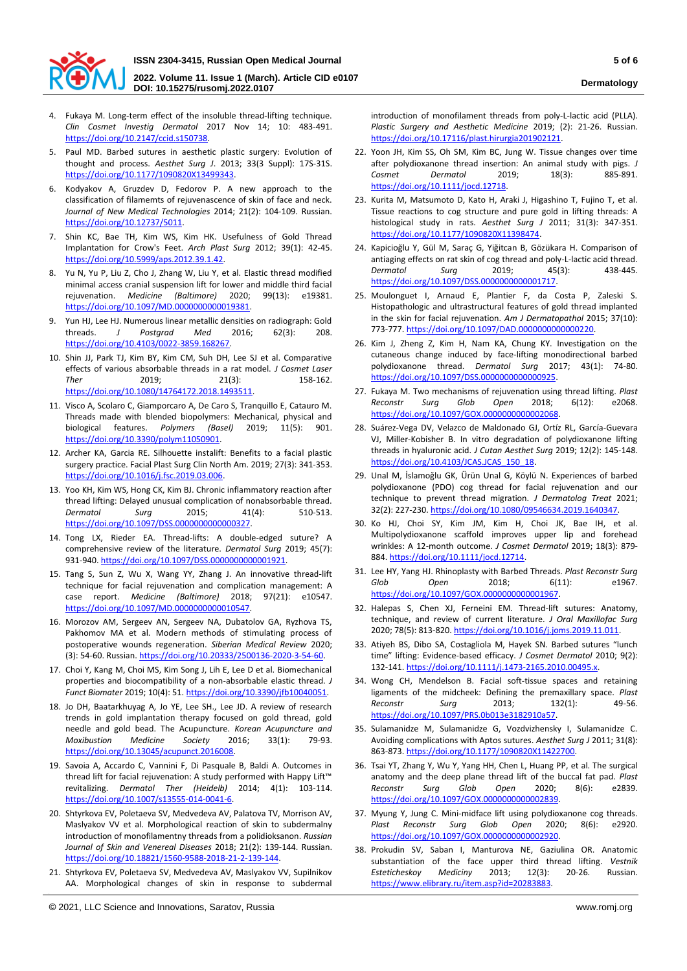

**2022. Volume 11. Issue 1 (March). Article CID e0107 DOI: 10.15275/rusomj.2022.0107**

- 4. Fukaya M. Long-term effect of the insoluble thread-lifting technique. *Clin Cosmet Investig Dermatol* 2017 Nov 14; 10: 483-491. [https://doi.org/10.2147/ccid.s150738.](https://doi.org/10.2147/ccid.s150738)
- 5. Paul MD. Barbed sutures in aesthetic plastic surgery: Evolution of thought and process. *Aesthet Surg J*. 2013; 33(3 Suppl): 17S-31S. [https://doi.org/10.1177/1090820X13499343.](https://doi.org/10.1177/1090820X13499343)
- 6. Kodyakov A, Gruzdev D, Fedorov P. A new approach to the classification of filamemts of rejuvenascence of skin of face and neck. *Journal of New Medical Technologies* 2014; 21(2): 104-109. Russian. [https://doi.org/10.12737/5011.](https://doi.org/10.12737/5011)
- 7. Shin KC, Bae TH, Kim WS, Kim HK. Usefulness of Gold Thread Implantation for Crow's Feet. *Arch Plast Surg* 2012; 39(1): 42-45. [https://doi.org/10.5999/aps.2012.39.1.42.](https://doi.org/10.5999/aps.2012.39.1.42)
- 8. Yu N, Yu P, Liu Z, Cho J, Zhang W, Liu Y, et al. Elastic thread modified minimal access cranial suspension lift for lower and middle third facial rejuvenation. *Medicine (Baltimore)* 2020; 99(13): e19381. [https://doi.org/10.1097/MD.0000000000019381.](https://doi.org/10.1097/MD.0000000000019381)
- 9. Yun HJ, Lee HJ. Numerous linear metallic densities on radiograph: Gold threads. *J Postgrad Med* 2016; 62(3): 208. [https://doi.org/10.4103/0022-3859.168267.](https://doi.org/10.4103/0022-3859.168267)
- 10. Shin JJ, Park TJ, Kim BY, Kim CM, Suh DH, Lee SJ et al. Comparative effects of various absorbable threads in a rat model. *J Cosmet Laser Ther* 2019; 21(3): 158-162. [https://doi.org/10.1080/14764172.2018.1493511.](https://doi.org/10.1080/14764172.2018.1493511)
- 11. Visco A, Scolaro C, Giamporcaro A, De Caro S, Tranquillo E, Catauro M. Threads made with blended biopolymers: Mechanical, physical and biological features. *Polymers (Basel)* 2019; 11(5): 901. [https://doi.org/10.3390/polym11050901.](https://doi.org/10.3390/polym11050901)
- 12. Archer KA, Garcia RE. Silhouette instalift: Benefits to a facial plastic surgery practice. Facial Plast Surg Clin North Am. 2019; 27(3): 341-353. [https://doi.org/10.1016/j.fsc.2019.03.006.](https://doi.org/10.1016/j.fsc.2019.03.006)
- 13. Yoo KH, Kim WS, Hong CK, Kim BJ. Chronic inflammatory reaction after thread lifting: Delayed unusual complication of nonabsorbable thread. *Dermatol Surg* 2015; 41(4): 510-513. [https://doi.org/10.1097/DSS.0000000000000327.](https://doi.org/10.1097/DSS.0000000000000327)
- 14. Tong LX, Rieder EA. Thread-lifts: A double-edged suture? A comprehensive review of the literature. *Dermatol Surg* 2019; 45(7): 931-940[. https://doi.org/10.1097/DSS.0000000000001921.](https://doi.org/10.1097/DSS.0000000000001921)
- 15. Tang S, Sun Z, Wu X, Wang YY, Zhang J. An innovative thread-lift technique for facial rejuvenation and complication management: A case report. *Medicine (Baltimore)* 2018; 97(21): e10547. [https://doi.org/10.1097/MD.0000000000010547.](https://doi.org/10.1097/MD.0000000000010547)
- 16. Morozov AM, Sergeev AN, Sergeev NA, Dubatolov GA, Ryzhova TS, Pakhomov MA et al. Modern methods of stimulating process of postoperative wounds regeneration. *Siberian Medical Review* 2020; (3): 54-60. Russian[. https://doi.org/10.20333/2500136-2020-3-54-60.](https://doi.org/10.20333/2500136-2020-3-54-60)
- 17. Choi Y, Kang M, Choi MS, Kim Song J, Lih E, Lee D et al. Biomechanical properties and biocompatibility of a non-absorbable elastic thread. *J Funct Biomater* 2019; 10(4): 51[. https://doi.org/10.3390/jfb10040051.](https://doi.org/10.3390/jfb10040051)
- 18. Jo DH, Baatarkhuyag A, Jo YE, Lee SH., Lee JD. A review of research trends in gold implantation therapy focused on gold thread, gold needle and gold bead. The Acupuncture. *Korean Acupuncture and Moxibustion Medicine Society* 2016; 33(1): 79-93. [https://doi.org/10.13045/acupunct.2016008.](https://doi.org/10.13045/acupunct.2016008)
- 19. Savoia A, Accardo C, Vannini F, Di Pasquale B, Baldi A. Outcomes in thread lift for facial rejuvenation: A study performed with Happy Lift™ revitalizing. *Dermatol Ther (Heidelb)* 2014; 4(1): 103-114. [https://doi.org/10.1007/s13555-014-0041-6.](https://doi.org/10.1007/s13555-014-0041-6)
- 20. Shtyrkova EV, Poletaeva SV, Medvedeva AV, Palatova TV, Morrison AV, Maslyakov VV et al. Morphological reaction of skin to subdermalny introduction of monofilamentny threads from a polidioksanon. *Russian Journal of Skin and Venereal Diseases* 2018; 21(2): 139-144. Russian. [https://doi.org/10.18821/1560-9588-2018-21-2-139-144.](https://doi.org/10.18821/1560-9588-2018-21-2-139-144)
- 21. Shtyrkova EV, Poletaeva SV, Medvedeva AV, Maslyakov VV, Supilnikov AA. Morphological changes of skin in response to subdermal

introduction of monofilament threads from poly-L-lactic acid (PLLA). *Plastic Surgery and Aesthetic Medicine* 2019; (2): 21-26. Russian. [https://doi.org/10.17116/plast.hirurgia201902121.](https://doi.org/10.17116/plast.hirurgia201902121)

- 22. Yoon JH, Kim SS, Oh SM, Kim BC, Jung W. Tissue changes over time after polydioxanone thread insertion: An animal study with pigs. *J Cosmet Dermatol* 2019; 18(3): 885-891. [https://doi.org/10.1111/jocd.12718.](https://doi.org/10.1111/jocd.12718)
- 23. Kurita M, Matsumoto D, Kato H, Araki J, Higashino T, Fujino T, et al. Tissue reactions to cog structure and pure gold in lifting threads: A histological study in rats. *Aesthet Surg J* 2011; 31(3): 347-351. [https://doi.org/10.1177/1090820X11398474.](https://doi.org/10.1177/1090820X11398474)
- 24. Kapicioğlu Y, Gül M, Saraç G, Yiğitcan B, Gözükara H. Comparison of antiaging effects on rat skin of cog thread and poly-L-lactic acid thread. *Dermatol Surg* 2019; 45(3): 438-445. [https://doi.org/10.1097/DSS.0000000000001717.](https://doi.org/10.1097/DSS.0000000000001717)
- 25. Moulonguet I, Arnaud E, Plantier F, da Costa P, Zaleski S. Histopathologic and ultrastructural features of gold thread implanted in the skin for facial rejuvenation. *Am J Dermatopathol* 2015; 37(10): 773-777[. https://doi.org/10.1097/DAD.0000000000000220.](https://doi.org/10.1097/DAD.0000000000000220)
- 26. Kim J, Zheng Z, Kim H, Nam KA, Chung KY. Investigation on the cutaneous change induced by face-lifting monodirectional barbed polydioxanone thread. *Dermatol Surg* 2017; 43(1): 74-80. [https://doi.org/10.1097/DSS.0000000000000925.](https://doi.org/10.1097/DSS.0000000000000925)
- 27. Fukaya M. Two mechanisms of rejuvenation using thread lifting. *Plast Reconstr Surg Glob Open* 2018; 6(12): e2068. [https://doi.org/10.1097/GOX.0000000000002068.](https://doi.org/10.1097/GOX.0000000000002068)
- 28. Suárez-Vega DV, Velazco de Maldonado GJ, Ortíz RL, García-Guevara VJ, Miller-Kobisher B. In vitro degradation of polydioxanone lifting threads in hyaluronic acid. *J Cutan Aesthet Surg* 2019; 12(2): 145-148. [https://doi.org/10.4103/JCAS.JCAS\\_150\\_18.](https://doi.org/10.4103/JCAS.JCAS_150_18)
- 29. Unal M, İslamoğlu GK, Ürün Unal G, Köylü N. Experiences of barbed polydioxanone (PDO) cog thread for facial rejuvenation and our technique to prevent thread migration. *J Dermatolog Treat* 2021; 32(2): 227-230[. https://doi.org/10.1080/09546634.2019.1640347.](https://doi.org/10.1080/09546634.2019.1640347)
- 30. Ko HJ, Choi SY, Kim JM, Kim H, Choi JK, Bae IH, et al. Multipolydioxanone scaffold improves upper lip and forehead wrinkles: A 12-month outcome. *J Cosmet Dermatol* 2019; 18(3): 879- 884[. https://doi.org/10.1111/jocd.12714.](https://doi.org/10.1111/jocd.12714)
- 31. Lee HY, Yang HJ. Rhinoplasty with Barbed Threads. *Plast Reconstr Surg Glob Open* 2018; 6(11): e1967. [https://doi.org/10.1097/GOX.0000000000001967.](https://doi.org/10.1097/GOX.0000000000001967)
- 32. Halepas S, Chen XJ, Ferneini EM. Thread-lift sutures: Anatomy, technique, and review of current literature. *J Oral Maxillofac Surg* 2020; 78(5): 813-820[. https://doi.org/10.1016/j.joms.2019.11.011.](https://doi.org/10.1016/j.joms.2019.11.011)
- 33. Atiyeh BS, Dibo SA, Costagliola M, Hayek SN. Barbed sutures "lunch time" lifting: Evidence-based efficacy. *J Cosmet Dermatol* 2010; 9(2): 132-141[. https://doi.org/10.1111/j.1473-2165.2010.00495.x.](https://doi.org/10.1111/j.1473-2165.2010.00495.x)
- 34. Wong CH, Mendelson B. Facial soft-tissue spaces and retaining ligaments of the midcheek: Defining the premaxillary space. *Plast Reconstr Surg* 2013; 132(1): 49-56. [https://doi.org/10.1097/PRS.0b013e3182910a57.](https://doi.org/10.1097/PRS.0b013e3182910a57)
- 35. Sulamanidze M, Sulamanidze G, Vozdvizhensky I, Sulamanidze C. Avoiding complications with Aptos sutures. *Aesthet Surg J* 2011; 31(8): 863-873[. https://doi.org/10.1177/1090820X11422700.](https://doi.org/10.1177/1090820X11422700)
- 36. Tsai YT, Zhang Y, Wu Y, Yang HH, Chen L, Huang PP, et al. The surgical anatomy and the deep plane thread lift of the buccal fat pad. *Plast Reconstr Surg Glob Open* 2020; 8(6): e2839. [https://doi.org/10.1097/GOX.0000000000002839.](https://doi.org/10.1097/GOX.0000000000002839)
- 37. Myung Y, Jung C. Mini-midface lift using polydioxanone cog threads. *Plast Reconstr Surg Glob Open* 2020; 8(6): e2920. [https://doi.org/10.1097/GOX.0000000000002920.](https://doi.org/10.1097/GOX.0000000000002920)
- 38. Prokudin SV, Saban I, Manturova NE, Gaziulina OR. Anatomic substantiation of the face upper third thread lifting. *Vestnik Esteticheskoy Mediciny* 2013; 12(3): 20-26. Russian. [https://www.elibrary.ru/item.asp?id=20283883.](https://www.elibrary.ru/item.asp?id=20283883)